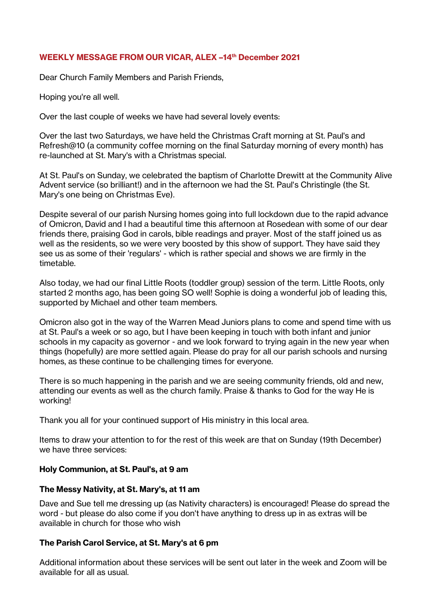## **WEEKLY MESSAGE FROM OUR VICAR, ALEX –14th December 2021**

Dear Church Family Members and Parish Friends,

Hoping you're all well.

Over the last couple of weeks we have had several lovely events:

Over the last two Saturdays, we have held the Christmas Craft morning at St. Paul's and Refresh@10 (a community coffee morning on the final Saturday morning of every month) has re-launched at St. Mary's with a Christmas special.

At St. Paul's on Sunday, we celebrated the baptism of Charlotte Drewitt at the Community Alive Advent service (so brilliant!) and in the afternoon we had the St. Paul's Christingle (the St. Mary's one being on Christmas Eve).

Despite several of our parish Nursing homes going into full lockdown due to the rapid advance of Omicron, David and I had a beautiful time this afternoon at Rosedean with some of our dear friends there, praising God in carols, bible readings and prayer. Most of the staff joined us as well as the residents, so we were very boosted by this show of support. They have said they see us as some of their 'regulars' - which is rather special and shows we are firmly in the timetable.

Also today, we had our final Little Roots (toddler group) session of the term. Little Roots, only started 2 months ago, has been going SO well! Sophie is doing a wonderful job of leading this, supported by Michael and other team members.

Omicron also got in the way of the Warren Mead Juniors plans to come and spend time with us at St. Paul's a week or so ago, but I have been keeping in touch with both infant and junior schools in my capacity as governor - and we look forward to trying again in the new year when things (hopefully) are more settled again. Please do pray for all our parish schools and nursing homes, as these continue to be challenging times for everyone.

There is so much happening in the parish and we are seeing community friends, old and new, attending our events as well as the church family. Praise & thanks to God for the way He is working!

Thank you all for your continued support of His ministry in this local area.

Items to draw your attention to for the rest of this week are that on Sunday (19th December) we have three services:

## **Holy Communion, at St. Paul's, at 9 am**

## **The Messy Nativity, at St. Mary's, at 11 am**

Dave and Sue tell me dressing up (as Nativity characters) is encouraged! Please do spread the word - but please do also come if you don't have anything to dress up in as extras will be available in church for those who wish

## **The Parish Carol Service, at St. Mary's at 6 pm**

Additional information about these services will be sent out later in the week and Zoom will be available for all as usual.